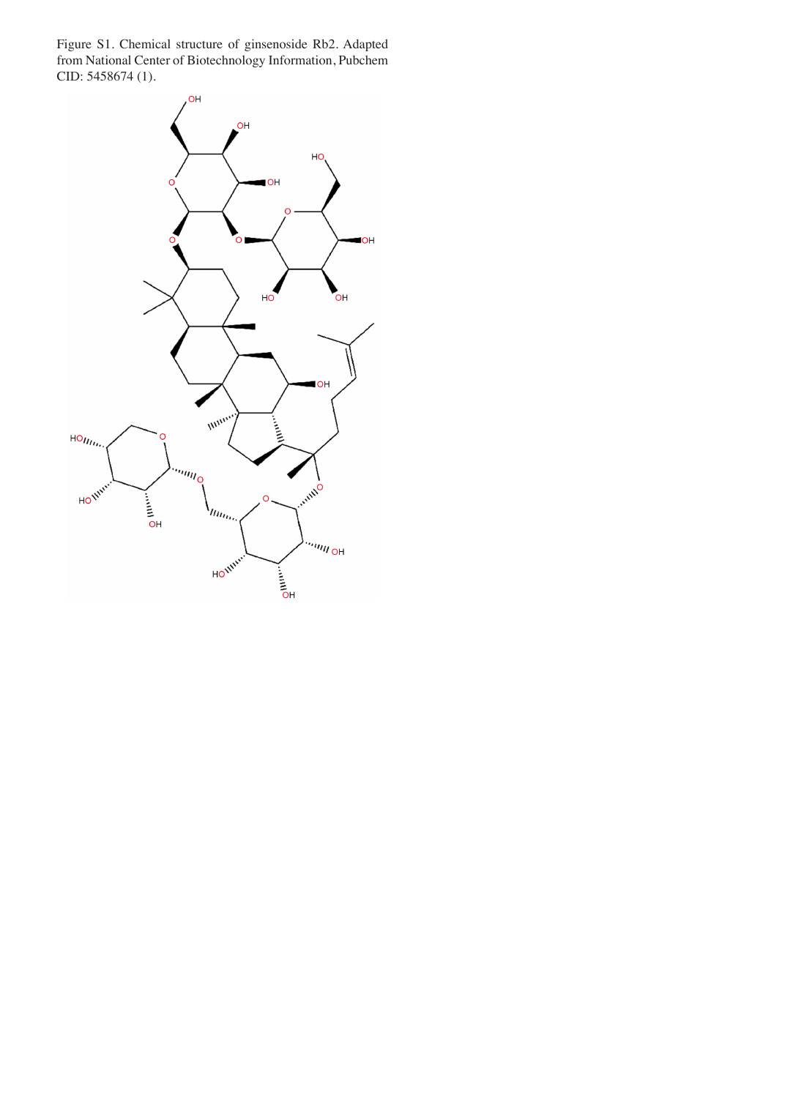Figure S1. Chemical structure of ginsenoside Rb2. Adapted from National Center of Biotechnology Information, Pubchem CID: 5458674 (1).

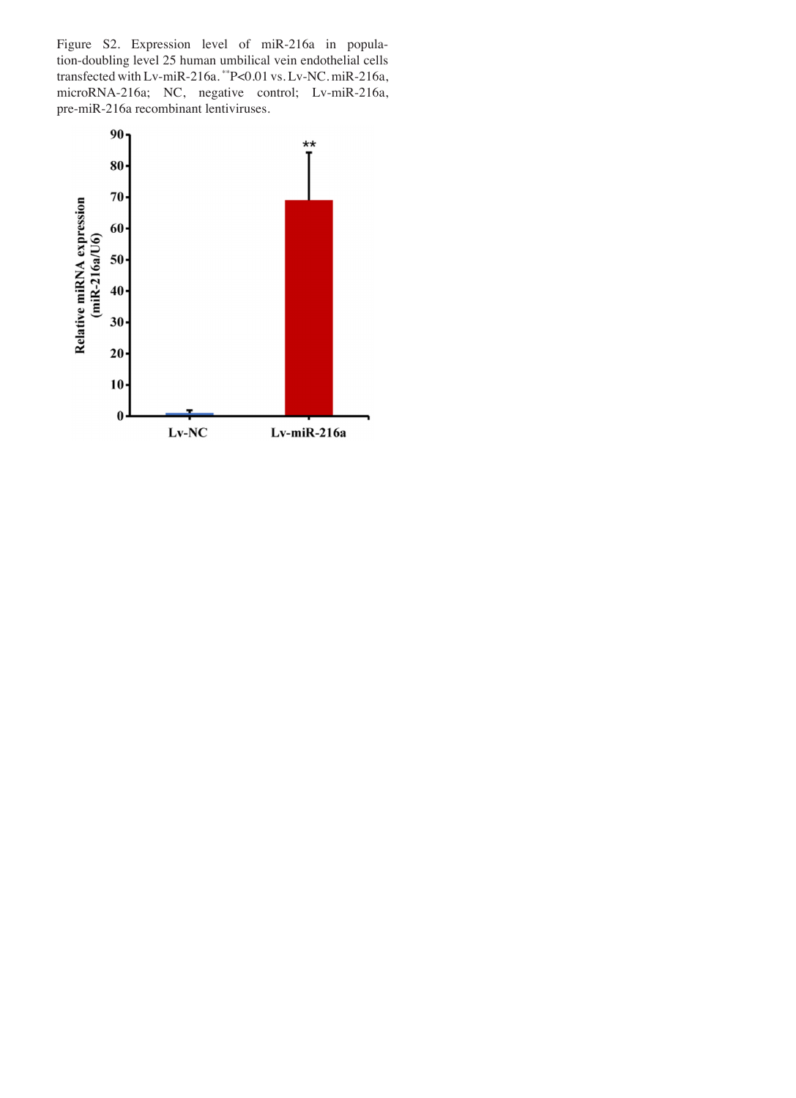Figure S2. Expression level of miR-216a in population‑doubling level 25 human umbilical vein endothelial cells transfected with Lv-miR-216a. \*\* P<0.01 vs. Lv-NC. miR-216a, microRNA-216a; NC, negative control; Lv-miR-216a, pre‑miR‑216a recombinant lentiviruses.

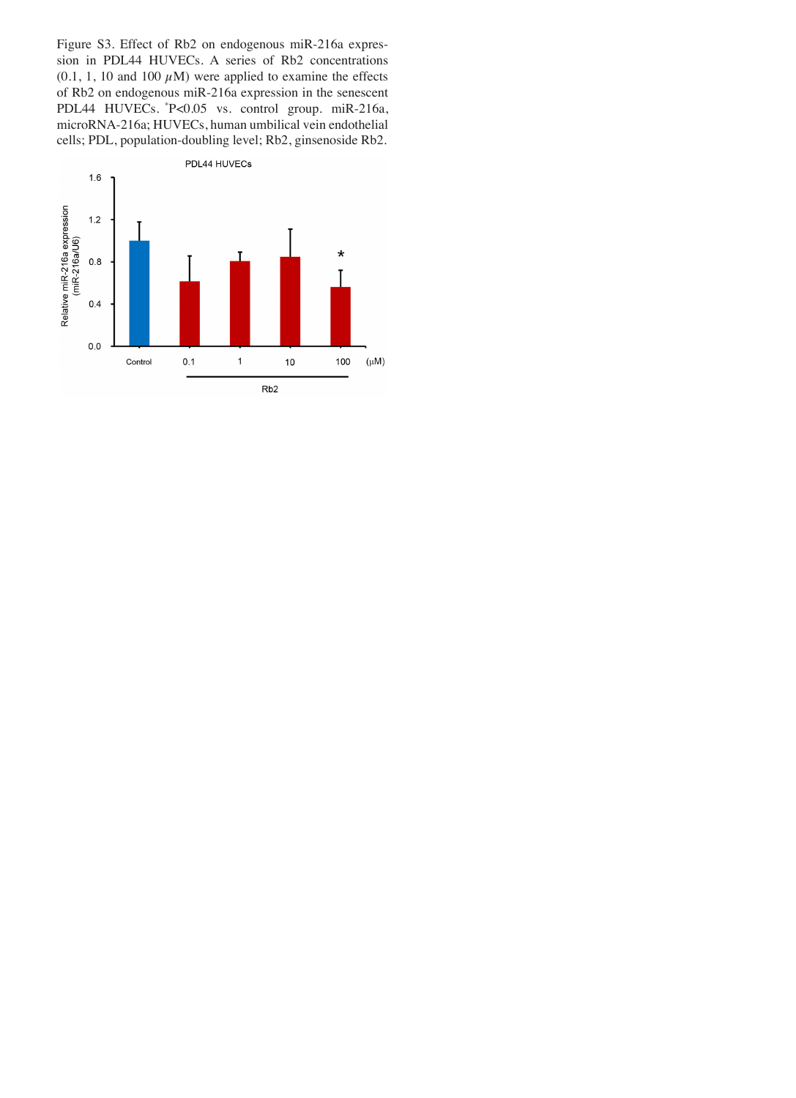Figure S3. Effect of Rb2 on endogenous miR-216a expression in PDL44 HUVECs. A series of Rb2 concentrations  $(0.1, 1, 10$  and  $100 \mu M)$  were applied to examine the effects of Rb2 on endogenous miR‑216a expression in the senescent PDL44 HUVECs. \*P<0.05 vs*.* control group. miR‑216a, microRNA‑216a; HUVECs, human umbilical vein endothelial cells; PDL, population‑doubling level; Rb2, ginsenoside Rb2.

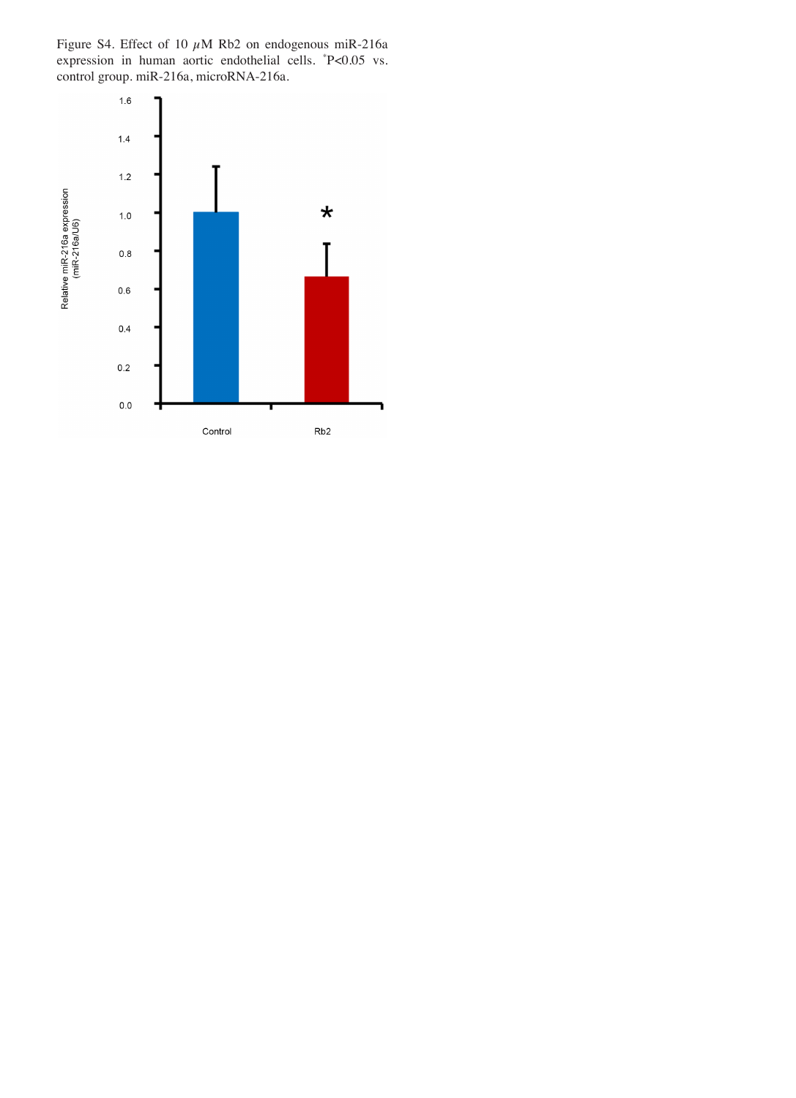Figure S4. Effect of 10  $\mu$ M Rb2 on endogenous miR-216a expression in human aortic endothelial cells. \* P<0.05 vs. control group. miR‑216a, microRNA‑216a.

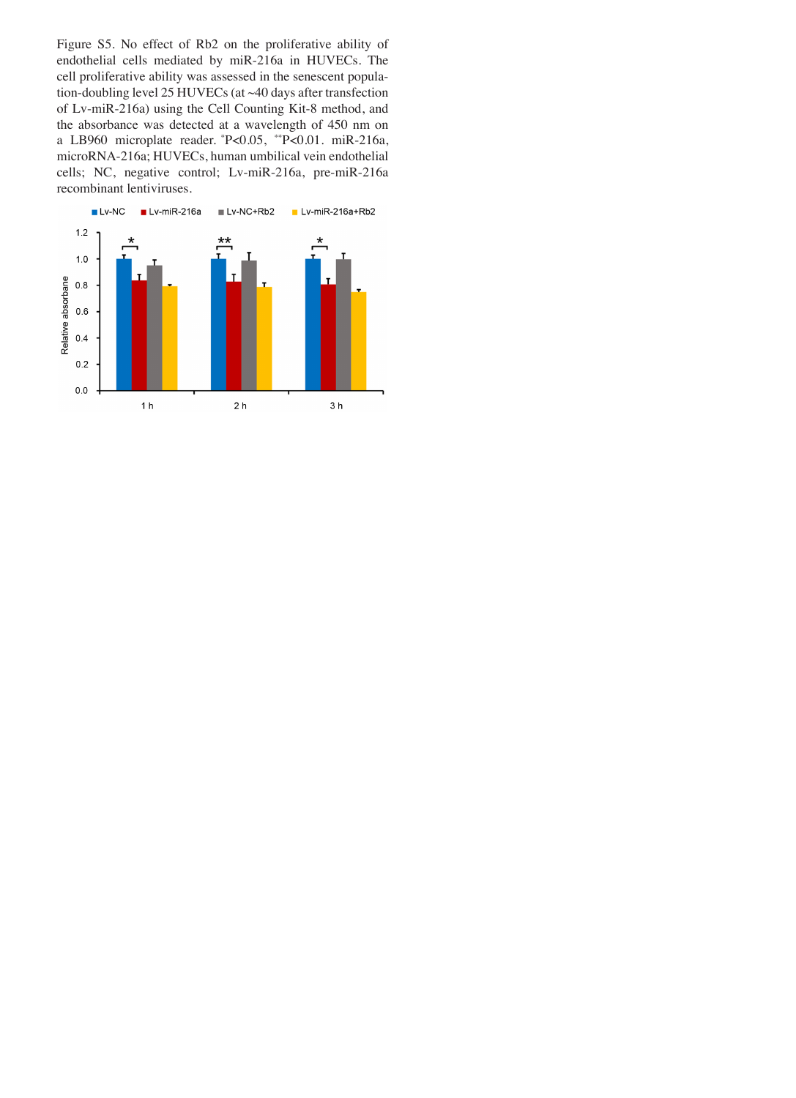Figure S5. No effect of Rb2 on the proliferative ability of endothelial cells mediated by miR‑216a in HUVECs. The cell proliferative ability was assessed in the senescent population-doubling level 25 HUVECs (at ~40 days after transfection of Lv‑miR‑216a) using the Cell Counting Kit‑8 method, and the absorbance was detected at a wavelength of 450 nm on a LB960 microplate reader. \*P<0.05, \*\*P<0.01. miR‑216a, microRNA‑216a; HUVECs, human umbilical vein endothelial cells; NC, negative control; Lv‑miR‑216a, pre‑miR‑216a recombinant lentiviruses.

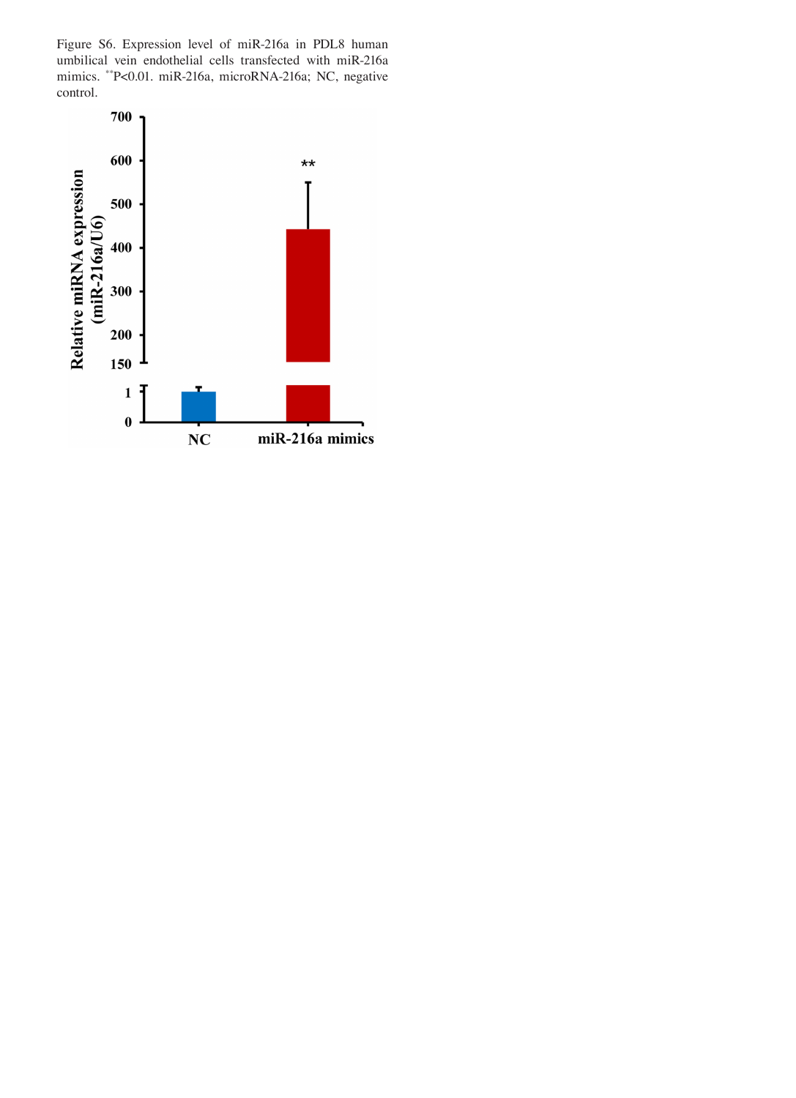Figure S6. Expression level of miR‑216a in PDL8 human umbilical vein endothelial cells transfected with miR‑216a mimics. \*\*P<0.01. miR‑216a, microRNA‑216a; NC, negative control.